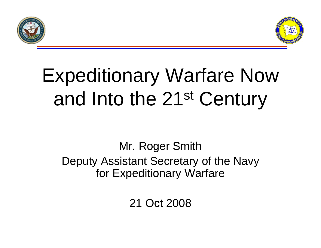



# Expeditionary Warfare Now and Into the 21st Century

#### Mr. Roger Smith Deputy Assistant Secretary of the Navy for Expeditionary Warfare

21 Oct 2008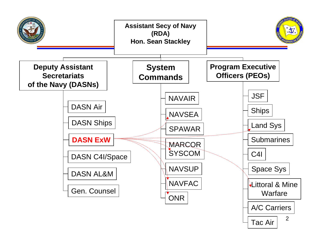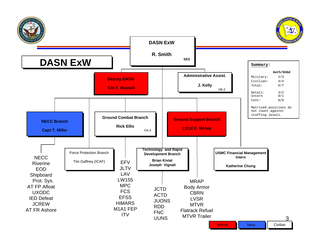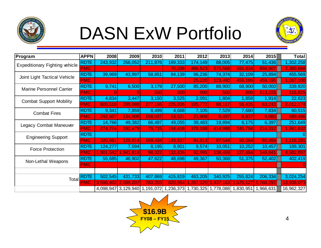

## DASN ExW Portfolio



| Program                               | <b>APPN</b> | 2008         | 2009                | 2010      | 2011       | 2012       | 2013      | 2014                          | 2015      | <b>Total</b> |
|---------------------------------------|-------------|--------------|---------------------|-----------|------------|------------|-----------|-------------------------------|-----------|--------------|
| <b>Expeditionary Fighting vehicle</b> | <b>RDTE</b> | 243,932      | 266,052             | 211,876   | 189,333    | 174,149    | 88,005    | 77,475                        | 51,436    | 1,302,258    |
|                                       | <b>PMC</b>  |              |                     |           | 70,036     | 466,523    | 575,568   | 591,634                       | 656,907   | 2,360,668    |
| Joint Light Tactical Vehicle          | <b>RDTE</b> | 39,969       | 43,997              | 58,851    | 84,139     | 96,236     | 74,374    | 32,109                        | 25,894    | 455,569      |
|                                       | <b>PMC</b>  |              |                     |           |            | 25,220     | 123,490   | 459,195                       | 459,195   | 1,067,100    |
| <b>Marine Personnel Carrier</b>       | <b>RDTE</b> | 9,741        | 6,500               | 3,179     | 27,500     | 85,200     | 88,900    | 68,900                        | 50,000    | 339,920      |
|                                       | <b>PMC</b>  | <sup>O</sup> |                     | 500       | <b>500</b> | 500        | 500       | 600                           | 113,225   | 115,825      |
| <b>Combat Support Mobility</b>        | <b>RDTE</b> | 4,834        | 3,447               | 3,150     | 3,525      | 2,091      | ,804      | 1,858                         | 1,914     | 22,623       |
|                                       | <b>PMC</b>  | 806,518      | 299,088             | 277,195   | 225,806    | 195,772    | 88,117    | 56,435                        | 63,243    | 2,012,174    |
| <b>Combat Fires</b>                   | <b>RDTE</b> | 9,341        | 7,859               | 8,499     | 4,668      | 7,105      | 7,529     | 7,680                         | 7,834     | 60,515       |
|                                       | <b>PMC</b>  | 292,607      | 134,908             | 158,037   | 53,521     | 23,909     | 8,497     | 8,937                         | 9,080     | 689,496      |
| Legacy Combat Maneuver                | <b>RDTE</b> | 14,766       | 49,382              | 66,497    | 49,055     | 39,483     | 19,894    | 6,175                         | 6,397     | 251,649      |
|                                       | <b>PMC</b>  | 274,774      | 192,479             | 79,715    | 194,418    | 378,188    | 414,988   | 240,758                       | 216,312   | 1,991,632    |
| <b>Engineering Support</b>            | <b>RDTE</b> |              |                     |           |            |            |           |                               |           |              |
|                                       | <b>PMC</b>  | 320,961      | 129,914             | 169,434   | 143,837    | 84,013     | 87,544    | 90,084                        | 92,494    | 1,118,281    |
| <b>Force Protection</b>               | <b>RDTE</b> | 124,277      | 7,594               | 8,195     | 8,901      | 9,574      | 10,051    | 10,252                        | 10,457    | 189,301      |
|                                       | <b>PMC</b>  | 1,901,542    | ,941,818            | 98,322    | 132,436    | 92,995     | 138,459   | 127,484                       | 149,841   | 4,582,897    |
| Non-Lethal Weapons                    | <b>RDTE</b> | 55,685       | 46,902              | 47,622    | 48,698     | 49,367     | 50,368    | 51,375                        | 52,402    | 402,419      |
|                                       | <b>PMC</b>  |              |                     |           |            |            |           |                               |           |              |
|                                       |             |              |                     |           |            |            |           |                               |           |              |
| Total                                 | <b>RDTE</b> | 502,545      | 431,733             | 407,869   | 415,819    | 463,205    | 340,925   | 255,824                       | 206,334   | 3,024,254    |
|                                       | <b>PMC</b>  | 3,596,402    | 2,698,207           | 783,203   | 820,554    | , 267, 120 | 1,437,163 | 1,575,127                     | 1,760,297 | 13,938,073   |
|                                       |             |              | 4,098,947 3,129,940 | 1,191,072 | 1,236,373  |            |           | 1,730,325 1,778,088 1,830,951 | 1,966,631 | 16,962,327   |

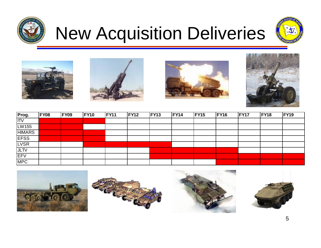

## New Acquisition Deliveries











| Prog.                  | <b>FY08</b> | <b>FY09</b> | <b>FY10</b> | <b>FY11</b> | <b>FY12</b> | <b>FY13</b> | <b>FY14</b> | <b>FY15</b> | <b>FY16</b> | FY17 | <b>FY18</b> | <b>FY19</b> |
|------------------------|-------------|-------------|-------------|-------------|-------------|-------------|-------------|-------------|-------------|------|-------------|-------------|
| $\overline{\text{TV}}$ |             |             |             |             |             |             |             |             |             |      |             |             |
| LW155                  |             |             |             |             |             |             |             |             |             |      |             |             |
| <b>HIMARS</b>          |             |             |             |             |             |             |             |             |             |      |             |             |
| <b>EFSS</b>            |             |             |             |             |             |             |             |             |             |      |             |             |
| <b>LVSR</b>            |             |             |             |             |             |             |             |             |             |      |             |             |
| JLTV                   |             |             |             |             |             |             |             |             |             |      |             |             |
| EFV                    |             |             |             |             |             |             |             |             |             |      |             |             |
| <b>MPC</b>             |             |             |             |             |             |             |             |             |             |      |             |             |

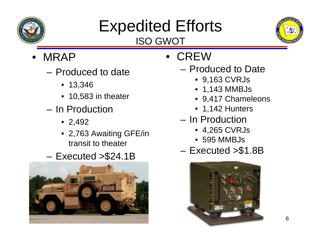

#### Expedited Efforts ISO GWOT



- MRAP
	- Produced to date
		- 13,346
		- 10,583 in theater
	- In Production
		- 2,492
		- 2,763 Awaiting GFE/in transit to theater
	- Executed >\$24.1B



- CREW
	- Produced to Date
		- 9,163 CVRJs
		- 1,143 MMBJs
		- 9,417 Chameleons
		- 1,142 Hunters
	- In Production
		- 4,265 CVRJs
		- 595 MMBJs
	- Executed >\$1.8B

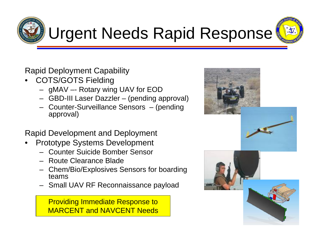



Rapid Deployment Capability

- COTS/GOTS Fielding
	- gMAV –- Rotary wing UAV for EOD
	- GBD-III Laser Dazzler (pending approval)
	- Counter-Surveillance Sensors (pending approval)

Rapid Development and Deployment

- Prototype Systems Development
	- Counter Suicide Bomber Sensor
	- Route Clearance Blade
	- Chem/Bio/Explosives Sensors for boarding teams
	- Small UAV RF Reconnaissance payload

Providing Immediate Response to MARCENT and NAVCENT Needs

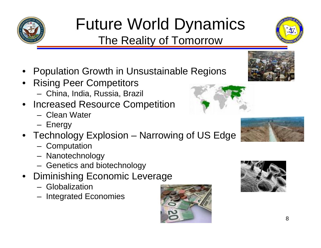#### Future World Dynamics The Reality of Tomorrow

- Population Growth in Unsustainable Regions
- Rising Peer Competitors
	- China, India, Russia, Brazil
- Increased Resource Competition
	- Clean Water
	- Energy
- Technology Explosion Narrowing of US Edge
	- Computation
	- Nanotechnology
	- Genetics and biotechnology
- Diminishing Economic Leverage
	- Globalization
	- Integrated Economies











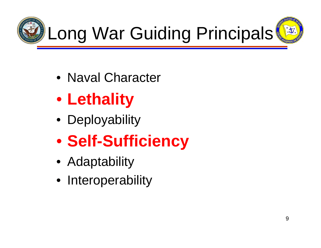





- Naval Character
- **Lethality**
- Deployability
- **Self-Sufficiency**
- Adaptability
- Interoperability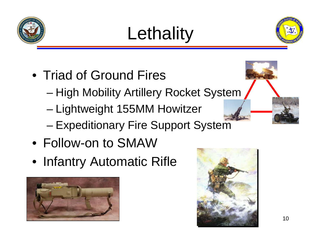





- Triad of Ground Fires
	- High Mobility Artillery Rocket System
	- Lightweight 155MM Howitzer
	- Expeditionary Fire Support System
- Follow-on to SMAW
- Infantry Automatic Rifle



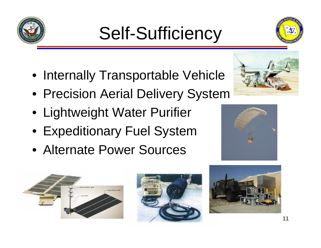## Self-Sufficiency

- Internally Transportable Vehicle
- Precision Aerial Delivery System
- Lightweight Water Purifier
- Expeditionary Fuel System
- Alternate Power Sources











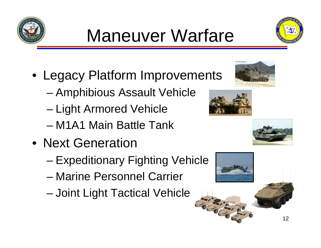## Maneuver Warfare

- Legacy Platform Improvements
	- Amphibious Assault Vehicle
	- Light Armored Vehicle
	- M1A1 Main Battle Tank
- Next Generation
	- Expeditionary Fighting Vehicle
	- Marine Personnel Carrier
	- Joint Light Tactical Vehicle







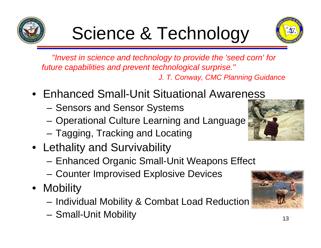

*"Invest in science and technology to provide the 'seed corn' for future capabilities and prevent technological surprise." J. T. Conway, CMC Planning Guidance*

- Enhanced Small-Unit Situational Awareness
	- Sensors and Sensor Systems
	- Operational Culture Learning and Language
	- Tagging, Tracking and Locating
- Lethality and Survivability
	- Enhanced Organic Small-Unit Weapons Effect
	- Counter Improvised Explosive Devices
- Mobility
	- Individual Mobility & Combat Load Reduction
	- Small-Unit Mobility



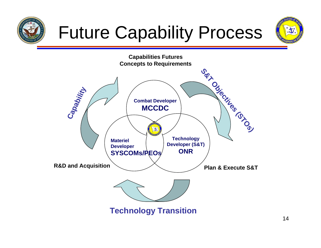

## Future Capability Process